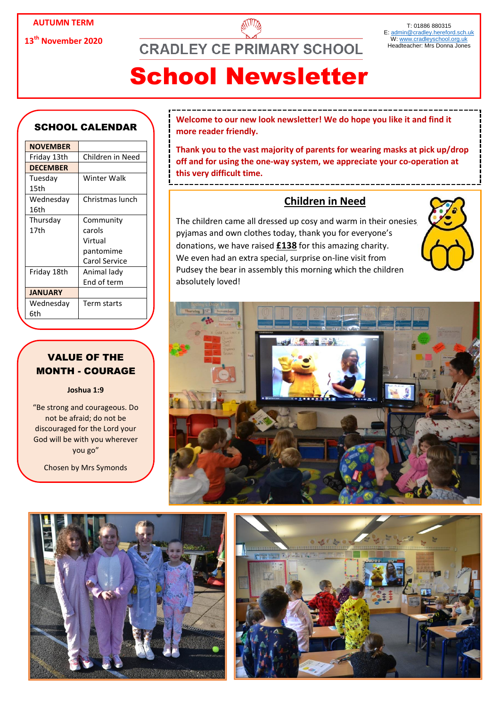**13th November 2020**

**CRADLEY CE PRIMARY SCHOOL** 

#### T: 01886 880315 E: [admin@cradley.hereford.sch.uk](mailto:admin@cradley.hereford.sch.uk) W[: www.cradleyschool.org.uk](http://www.cradleyschool.org.uk/) Headteacher: Mrs Donna Jones

# School Newsletter

### SCHOOL CALENDAR

| <b>NOVEMBER</b> |                  |
|-----------------|------------------|
| Friday 13th     | Children in Need |
| <b>DECEMBER</b> |                  |
| Tuesday         | Winter Walk      |
| 15th            |                  |
| Wednesday       | Christmas lunch  |
| 16th            |                  |
| Thursday        | Community        |
| 17th            | carols           |
|                 | Virtual          |
|                 | pantomime        |
|                 | Carol Service    |
| Friday 18th     | Animal lady      |
|                 | End of term      |
| <b>JANUARY</b>  |                  |
| Wednesday       | Term starts      |
| 6th             |                  |
|                 |                  |

### VALUE OF THE MONTH - COURAGE

### **Joshua 1:9**

"Be strong and courageous. Do not be afraid; do not be discouraged for the Lord your God will be with you wherever you go"

Chosen by Mrs Symonds

**Welcome to our new look newsletter! We do hope you like it and find it more reader friendly.**

**Thank you to the vast majority of parents for wearing masks at pick up/drop off and for using the one-way system, we appreciate your co-operation at this very difficult time.**

## **Children in Need**

The children came all dressed up cosy and warm in their onesies, pyjamas and own clothes today, thank you for everyone's donations, we have raised **£138** for this amazing charity. We even had an extra special, surprise on-line visit from Pudsey the bear in assembly this morning which the children absolutely loved!







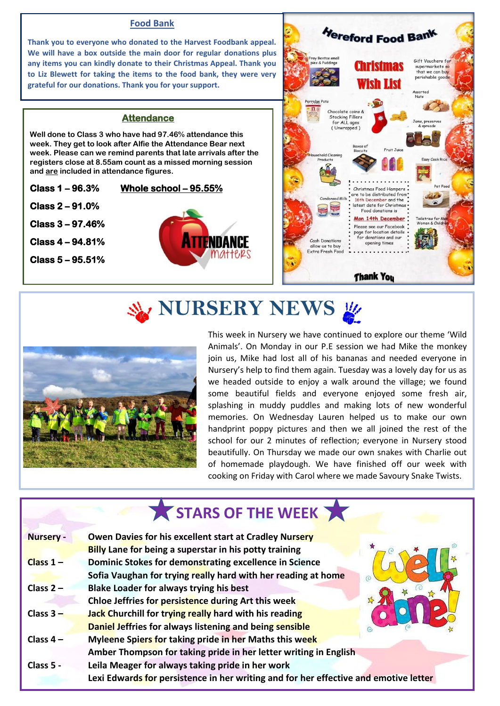### **Food Bank**

**Thank you to everyone who donated to the Harvest Foodbank appeal. We will have a box outside the main door for regular donations plus any items you can kindly donate to their Christmas Appeal. Thank you to Liz Blewett for taking the items to the food bank, they were very grateful for our donations. Thank you for your support.**

### **Attendance**

**Well done to Class 3 who have had 97.46% attendance this week. They get to look after Alfie the Attendance Bear next week. Please can we remind parents that late arrivals after the registers close at 8.55am count as a missed morning session and are included in attendance figures.**

**Class 1 – 96.3% Whole school – 95.55% Class 2 – 91.0% Class 3 – 97.46% Class 4 – 94.81% Class 5 – 95.51%** 





# **W** NURSERY NEWS



This week in Nursery we have continued to explore our theme 'Wild Animals'. On Monday in our P.E session we had Mike the monkey join us, Mike had lost all of his bananas and needed everyone in Nursery's help to find them again. Tuesday was a lovely day for us as we headed outside to enjoy a walk around the village; we found some beautiful fields and everyone enjoyed some fresh air, splashing in muddy puddles and making lots of new wonderful memories. On Wednesday Lauren helped us to make our own handprint poppy pictures and then we all joined the rest of the school for our 2 minutes of reflection; everyone in Nursery stood beautifully. On Thursday we made our own snakes with Charlie out of homemade playdough. We have finished off our week with cooking on Friday with Carol where we made Savoury Snake Twists.

## STARS OF THE WEEK **Nursery - Owen Davies for his excellent start at Cradley Nursery Billy Lane for being a superstar in his potty training Class 1 – Dominic Stokes for demonstrating excellence in Science Sofia Vaughan for trying really hard with her reading at home Class 2 – Blake Loader for always trying his best Chloe Jeffries for persistence during Art this week Class 3 – Jack Churchill for trying really hard with his reading Daniel Jeffries for always listening and being sensible Class 4 – Myleene Spiers for taking pride in her Maths this week Amber Thompson for taking pride in her letter writing in English Class 5 - Leila Meager for always taking pride in her work Lexi Edwards for persistence in her writing and for her effective and emotive letter**